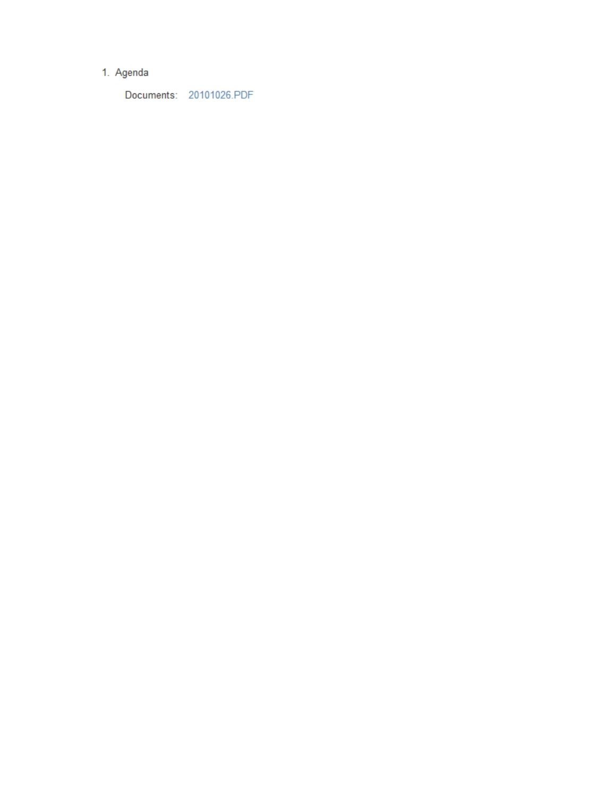# 1. Agenda

Documents: 20101026.PDF